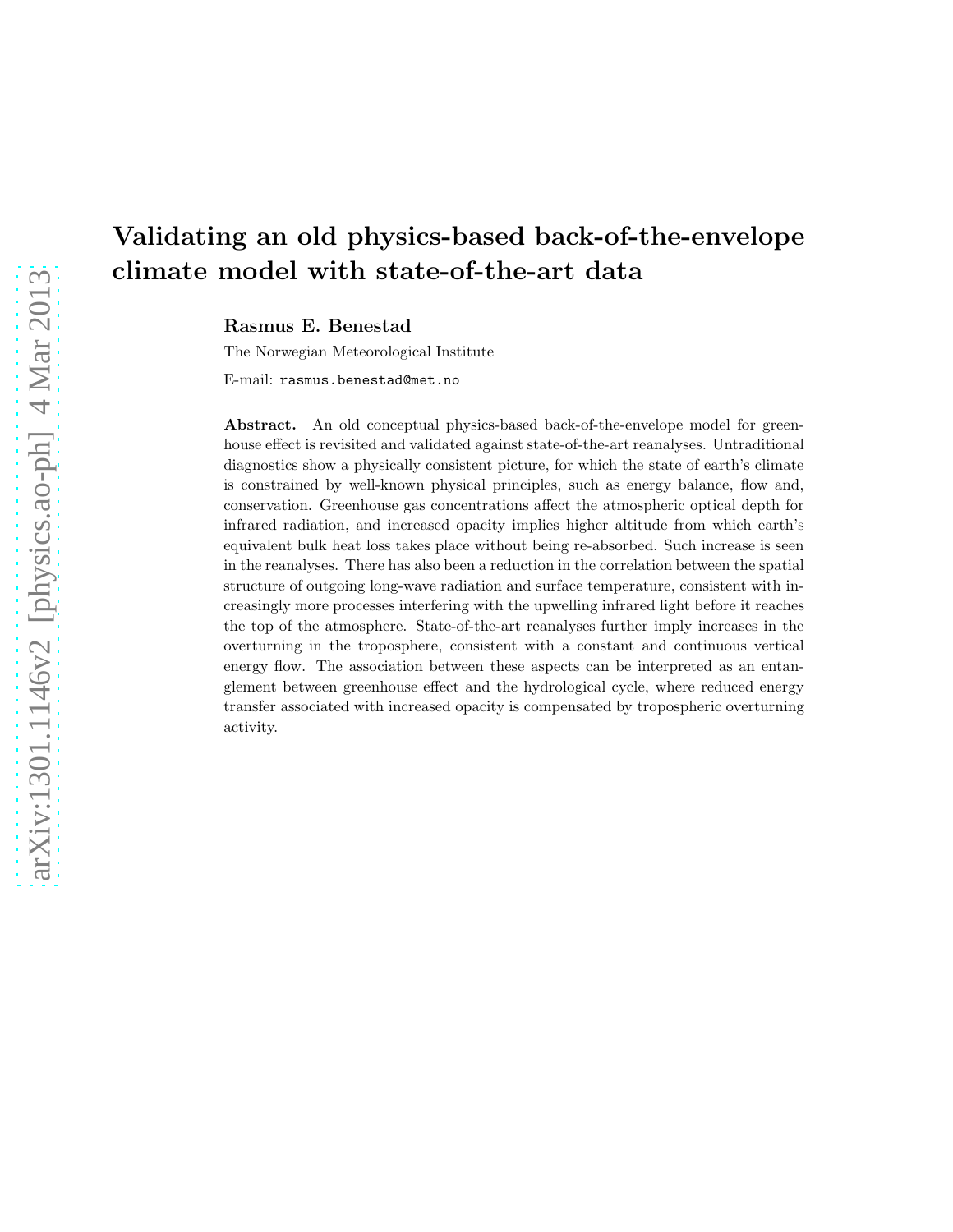# Validating an old physics-based back-of-the-envelope climate model with state-of-the-art data

Rasmus E. Benestad

The Norwegian Meteorological Institute

E-mail: rasmus.benestad@met.no

Abstract. An old conceptual physics-based back-of-the-envelope model for greenhouse effect is revisited and validated against state-of-the-art reanalyses. Untraditional diagnostics show a physically consistent picture, for which the state of earth's climate is constrained by well-known physical principles, such as energy balance, flow and, conservation. Greenhouse gas concentrations affect the atmospheric optical depth for infrared radiation, and increased opacity implies higher altitude from which earth's equivalent bulk heat loss takes place without being re-absorbed. Such increase is seen in the reanalyses. There has also been a reduction in the correlation between the spatial structure of outgoing long-wave radiation and surface temperature, consistent with increasingly more processes interfering with the upwelling infrared light before it reaches the top of the atmosphere. State-of-the-art reanalyses further imply increases in the overturning in the troposphere, consistent with a constant and continuous vertical energy flow. The association between these aspects can be interpreted as an entanglement between greenhouse effect and the hydrological cycle, where reduced energy transfer associated with increased opacity is compensated by tropospheric overturning activity.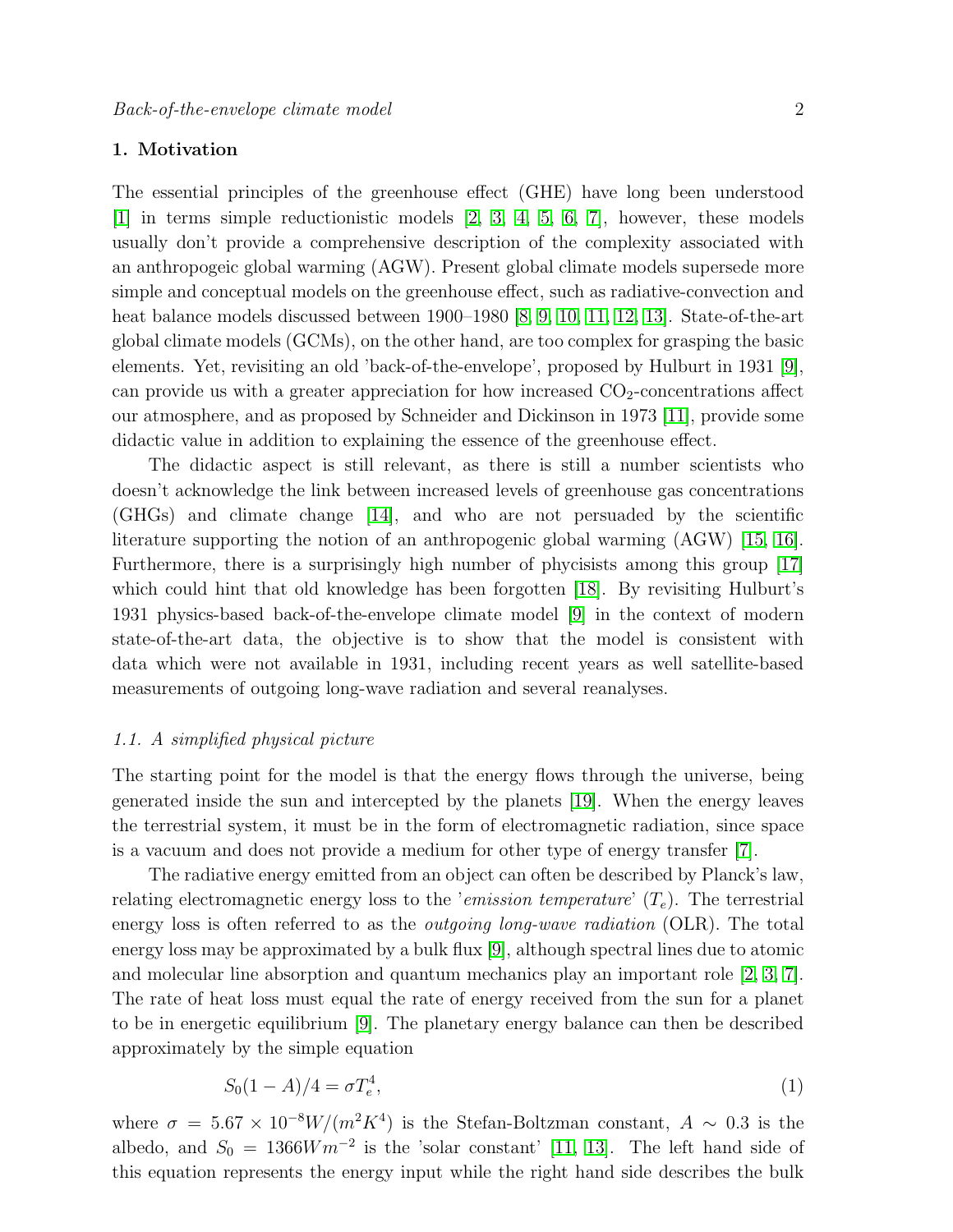#### 1. Motivation

The essential principles of the greenhouse effect (GHE) have long been understood [\[1\]](#page-11-0) in terms simple reductionistic models [\[2,](#page-11-1) [3,](#page-11-2) [4,](#page-11-3) [5,](#page-11-4) [6,](#page-11-5) [7\]](#page-11-6), however, these models usually don't provide a comprehensive description of the complexity associated with an anthropogeic global warming (AGW). Present global climate models supersede more simple and conceptual models on the greenhouse effect, such as radiative-convection and heat balance models discussed between 1900–1980 [\[8,](#page-11-7) [9,](#page-11-8) [10,](#page-11-9) [11,](#page-11-10) [12,](#page-11-11) [13\]](#page-11-12). State-of-the-art global climate models (GCMs), on the other hand, are too complex for grasping the basic elements. Yet, revisiting an old 'back-of-the-envelope', proposed by Hulburt in 1931 [\[9\]](#page-11-8), can provide us with a greater appreciation for how increased  $CO<sub>2</sub>$ -concentrations affect our atmosphere, and as proposed by Schneider and Dickinson in 1973 [\[11\]](#page-11-10), provide some didactic value in addition to explaining the essence of the greenhouse effect.

The didactic aspect is still relevant, as there is still a number scientists who doesn't acknowledge the link between increased levels of greenhouse gas concentrations (GHGs) and climate change [\[14\]](#page-11-13), and who are not persuaded by the scientific literature supporting the notion of an anthropogenic global warming (AGW) [\[15,](#page-11-14) [16\]](#page-11-15). Furthermore, there is a surprisingly high number of phycisists among this group [\[17\]](#page-11-16) which could hint that old knowledge has been forgotten [\[18\]](#page-11-17). By revisiting Hulburt's 1931 physics-based back-of-the-envelope climate model [\[9\]](#page-11-8) in the context of modern state-of-the-art data, the objective is to show that the model is consistent with data which were not available in 1931, including recent years as well satellite-based measurements of outgoing long-wave radiation and several reanalyses.

#### 1.1. A simplified physical picture

The starting point for the model is that the energy flows through the universe, being generated inside the sun and intercepted by the planets [\[19\]](#page-11-18). When the energy leaves the terrestrial system, it must be in the form of electromagnetic radiation, since space is a vacuum and does not provide a medium for other type of energy transfer [\[7\]](#page-11-6).

The radiative energy emitted from an object can often be described by Planck's law, relating electromagnetic energy loss to the 'emission temperature'  $(T_e)$ . The terrestrial energy loss is often referred to as the *outgoing long-wave radiation* (OLR). The total energy loss may be approximated by a bulk flux [\[9\]](#page-11-8), although spectral lines due to atomic and molecular line absorption and quantum mechanics play an important role [\[2,](#page-11-1) [3,](#page-11-2) [7\]](#page-11-6). The rate of heat loss must equal the rate of energy received from the sun for a planet to be in energetic equilibrium [\[9\]](#page-11-8). The planetary energy balance can then be described approximately by the simple equation

<span id="page-1-0"></span>
$$
S_0(1-A)/4 = \sigma T_e^4,\tag{1}
$$

where  $\sigma = 5.67 \times 10^{-8} W/(m^2 K^4)$  is the Stefan-Boltzman constant,  $A \sim 0.3$  is the albedo, and  $S_0 = 1366Wm^{-2}$  is the 'solar constant' [\[11,](#page-11-10) [13\]](#page-11-12). The left hand side of this equation represents the energy input while the right hand side describes the bulk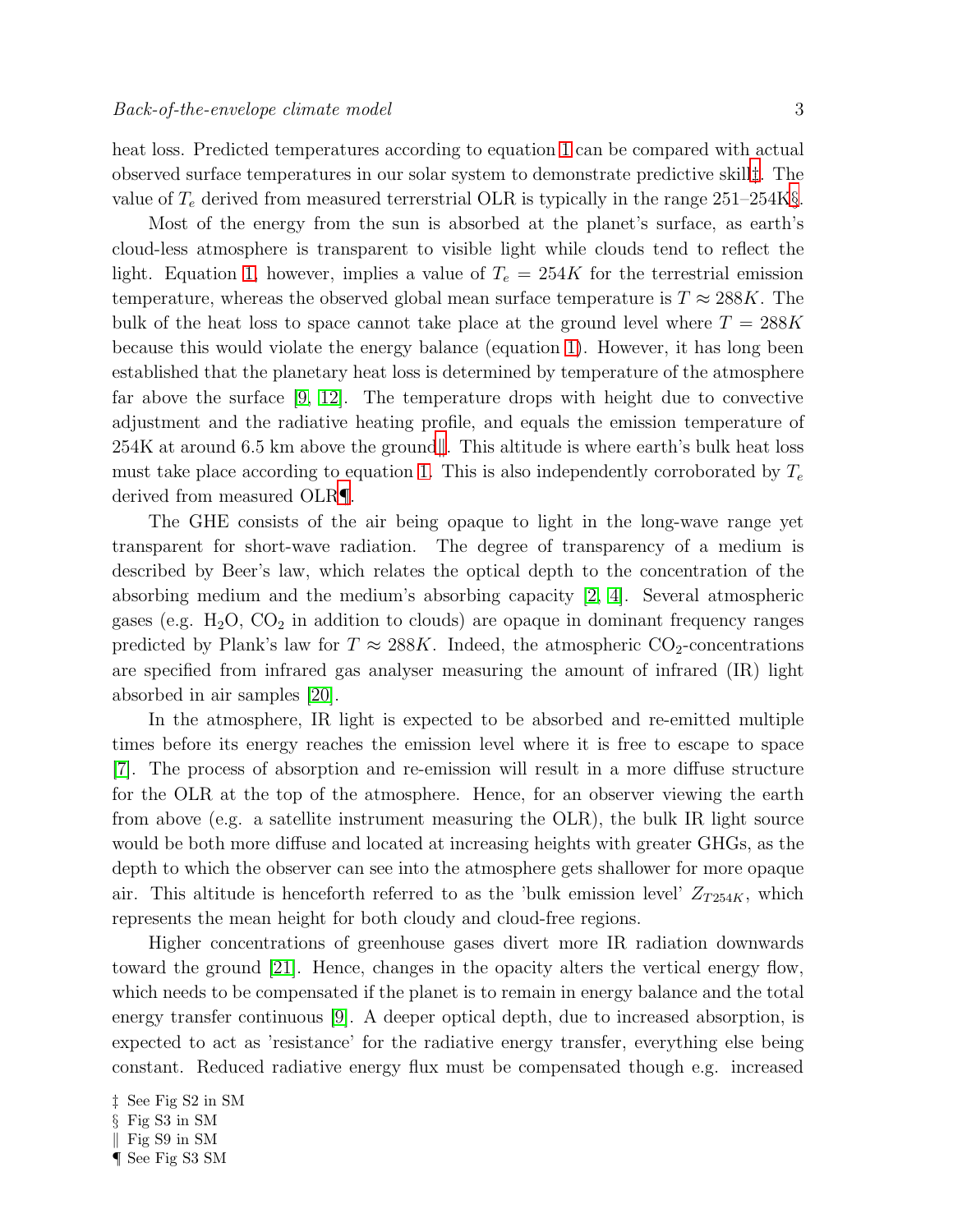heat loss. Predicted temperatures according to equation [1](#page-1-0) can be compared with actual observed surface temperatures in our solar system to demonstrate predictive skill[‡](#page-2-0). The value of  $T_e$  derived from measured terrerstrial OLR is typically in the range 251–254K[§](#page-2-1).

Most of the energy from the sun is absorbed at the planet's surface, as earth's cloud-less atmosphere is transparent to visible light while clouds tend to reflect the light. Equation [1,](#page-1-0) however, implies a value of  $T_e = 254K$  for the terrestrial emission temperature, whereas the observed global mean surface temperature is  $T \approx 288K$ . The bulk of the heat loss to space cannot take place at the ground level where  $T = 288K$ because this would violate the energy balance (equation [1\)](#page-1-0). However, it has long been established that the planetary heat loss is determined by temperature of the atmosphere far above the surface  $(9, 12)$ . The temperature drops with height due to convective adjustment and the radiative heating profile, and equals the emission temperature of  $254K$  at around 6.5 [k](#page-2-2)m above the ground. This altitude is where earth's bulk heat loss must take place according to equation [1.](#page-1-0) This is also independently corroborated by  $T_e$ derived from measured OLR[¶](#page-2-3).

The GHE consists of the air being opaque to light in the long-wave range yet transparent for short-wave radiation. The degree of transparency of a medium is described by Beer's law, which relates the optical depth to the concentration of the absorbing medium and the medium's absorbing capacity [\[2,](#page-11-1) [4\]](#page-11-3). Several atmospheric gases (e.g.  $H_2O$ ,  $CO_2$  in addition to clouds) are opaque in dominant frequency ranges predicted by Plank's law for  $T \approx 288K$ . Indeed, the atmospheric CO<sub>2</sub>-concentrations are specified from infrared gas analyser measuring the amount of infrared (IR) light absorbed in air samples [\[20\]](#page-11-19).

In the atmosphere, IR light is expected to be absorbed and re-emitted multiple times before its energy reaches the emission level where it is free to escape to space [\[7\]](#page-11-6). The process of absorption and re-emission will result in a more diffuse structure for the OLR at the top of the atmosphere. Hence, for an observer viewing the earth from above (e.g. a satellite instrument measuring the OLR), the bulk IR light source would be both more diffuse and located at increasing heights with greater GHGs, as the depth to which the observer can see into the atmosphere gets shallower for more opaque air. This altitude is henceforth referred to as the 'bulk emission level'  $Z_{T254K}$ , which represents the mean height for both cloudy and cloud-free regions.

Higher concentrations of greenhouse gases divert more IR radiation downwards toward the ground [\[21\]](#page-11-20). Hence, changes in the opacity alters the vertical energy flow, which needs to be compensated if the planet is to remain in energy balance and the total energy transfer continuous [\[9\]](#page-11-8). A deeper optical depth, due to increased absorption, is expected to act as 'resistance' for the radiative energy transfer, everything else being constant. Reduced radiative energy flux must be compensated though e.g. increased

- <span id="page-2-0"></span>§ Fig S3 in SM
- <span id="page-2-1"></span> $\parallel$  Fig S9 in SM

<sup>‡</sup> See Fig S2 in SM

<span id="page-2-3"></span><span id="page-2-2"></span><sup>¶</sup> See Fig S3 SM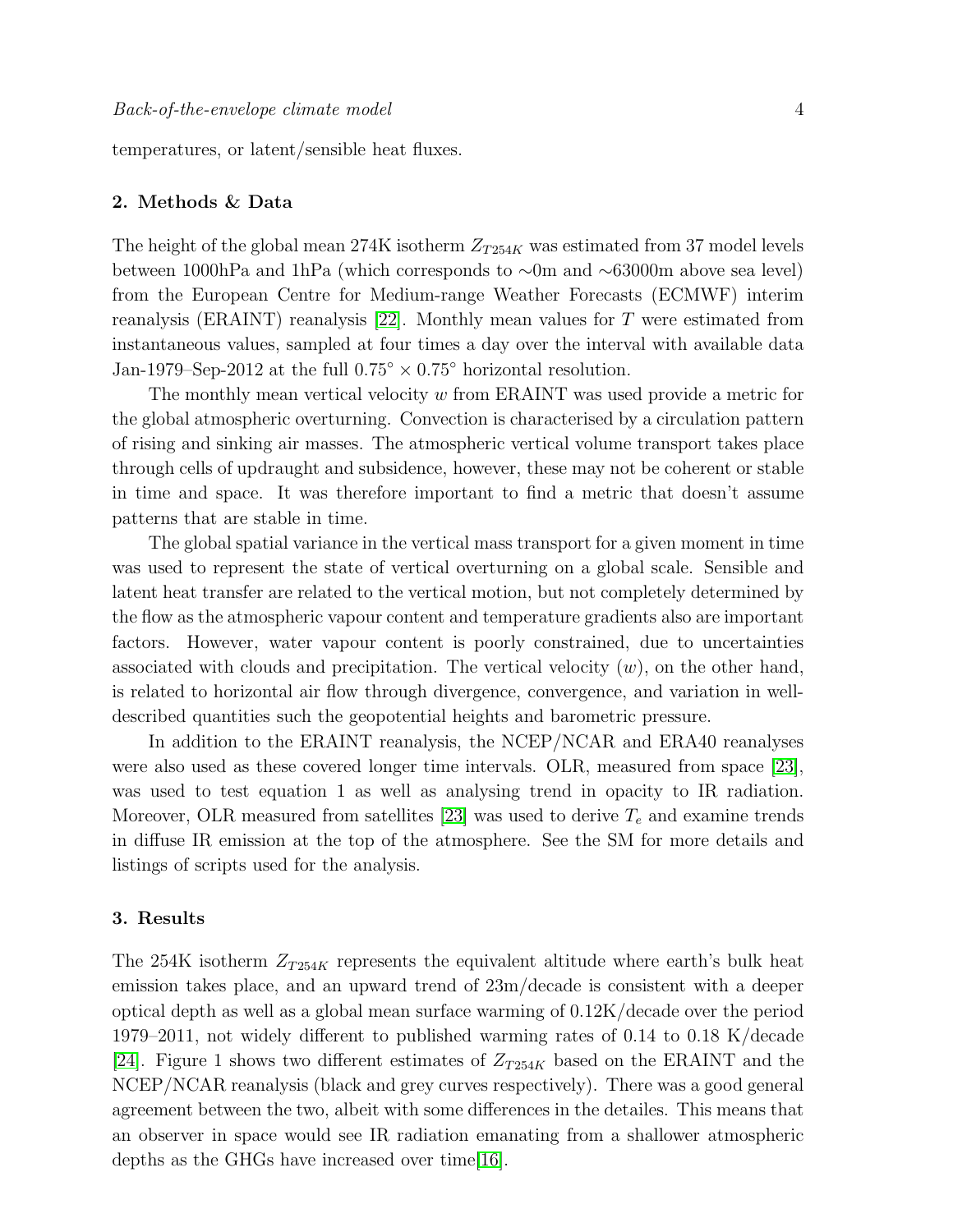temperatures, or latent/sensible heat fluxes.

#### 2. Methods & Data

The height of the global mean 274K isotherm  $Z_{T254K}$  was estimated from 37 model levels between 1000hPa and 1hPa (which corresponds to ∼0m and ∼63000m above sea level) from the European Centre for Medium-range Weather Forecasts (ECMWF) interim reanalysis (ERAINT) reanalysis  $|22|$ . Monthly mean values for T were estimated from instantaneous values, sampled at four times a day over the interval with available data Jan-1979–Sep-2012 at the full  $0.75^{\circ} \times 0.75^{\circ}$  horizontal resolution.

The monthly mean vertical velocity  $w$  from ERAINT was used provide a metric for the global atmospheric overturning. Convection is characterised by a circulation pattern of rising and sinking air masses. The atmospheric vertical volume transport takes place through cells of updraught and subsidence, however, these may not be coherent or stable in time and space. It was therefore important to find a metric that doesn't assume patterns that are stable in time.

The global spatial variance in the vertical mass transport for a given moment in time was used to represent the state of vertical overturning on a global scale. Sensible and latent heat transfer are related to the vertical motion, but not completely determined by the flow as the atmospheric vapour content and temperature gradients also are important factors. However, water vapour content is poorly constrained, due to uncertainties associated with clouds and precipitation. The vertical velocity  $(w)$ , on the other hand, is related to horizontal air flow through divergence, convergence, and variation in welldescribed quantities such the geopotential heights and barometric pressure.

In addition to the ERAINT reanalysis, the NCEP/NCAR and ERA40 reanalyses were also used as these covered longer time intervals. OLR, measured from space [\[23\]](#page-11-22), was used to test equation 1 as well as analysing trend in opacity to IR radiation. Moreover, OLR measured from satellites [\[23\]](#page-11-22) was used to derive  $T_e$  and examine trends in diffuse IR emission at the top of the atmosphere. See the SM for more details and listings of scripts used for the analysis.

#### 3. Results

The 254K isotherm  $Z_{T254K}$  represents the equivalent altitude where earth's bulk heat emission takes place, and an upward trend of 23m/decade is consistent with a deeper optical depth as well as a global mean surface warming of 0.12K/decade over the period 1979–2011, not widely different to published warming rates of 0.14 to 0.18 K/decade [\[24\]](#page-11-23). Figure 1 shows two different estimates of  $Z_{T254K}$  based on the ERAINT and the NCEP/NCAR reanalysis (black and grey curves respectively). There was a good general agreement between the two, albeit with some differences in the detailes. This means that an observer in space would see IR radiation emanating from a shallower atmospheric depths as the GHGs have increased over time[\[16\]](#page-11-15).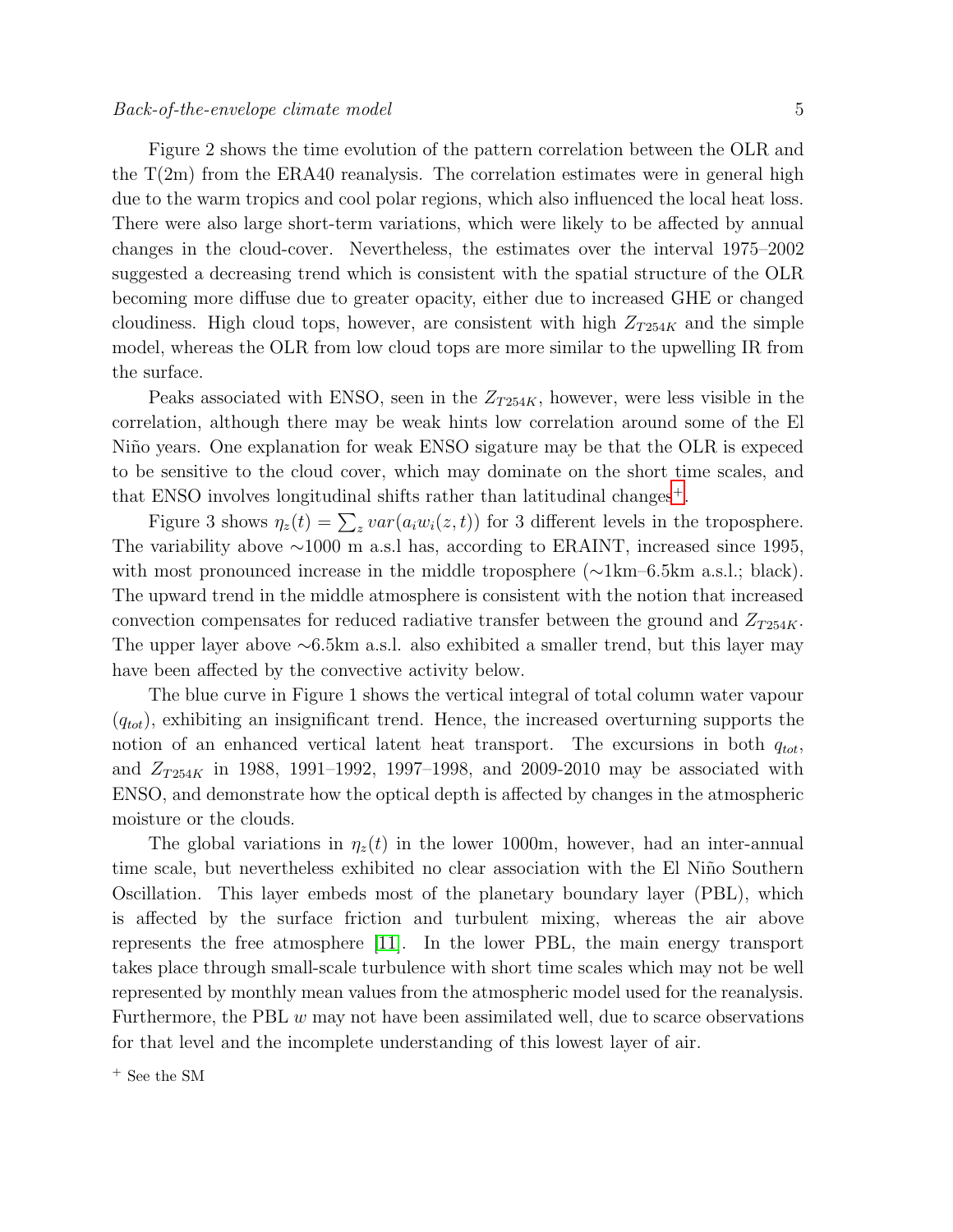Figure 2 shows the time evolution of the pattern correlation between the OLR and the  $T(2m)$  from the ERA40 reanalysis. The correlation estimates were in general high due to the warm tropics and cool polar regions, which also influenced the local heat loss. There were also large short-term variations, which were likely to be affected by annual changes in the cloud-cover. Nevertheless, the estimates over the interval 1975–2002 suggested a decreasing trend which is consistent with the spatial structure of the OLR becoming more diffuse due to greater opacity, either due to increased GHE or changed cloudiness. High cloud tops, however, are consistent with high  $Z_{T254K}$  and the simple model, whereas the OLR from low cloud tops are more similar to the upwelling IR from the surface.

Peaks associated with ENSO, seen in the  $Z_{T254K}$ , however, were less visible in the correlation, although there may be weak hints low correlation around some of the El Niño years. One explanation for weak ENSO sigature may be that the OLR is expeced to be sensitive to the cloud cover, which may dominate on the short time scales, and that ENSO involves longitudinal shifts rather than latitudinal changes<sup>[+](#page-4-0)</sup>.

Figure 3 shows  $\eta_z(t) = \sum_z var(a_i w_i(z, t))$  for 3 different levels in the troposphere. The variability above ∼1000 m a.s.l has, according to ERAINT, increased since 1995, with most pronounced increase in the middle troposphere (∼1km–6.5km a.s.l.; black). The upward trend in the middle atmosphere is consistent with the notion that increased convection compensates for reduced radiative transfer between the ground and  $Z_{T254K}$ . The upper layer above ∼6.5km a.s.l. also exhibited a smaller trend, but this layer may have been affected by the convective activity below.

The blue curve in Figure 1 shows the vertical integral of total column water vapour  $(q_{tot})$ , exhibiting an insignificant trend. Hence, the increased overturning supports the notion of an enhanced vertical latent heat transport. The excursions in both  $q_{tot}$ , and  $Z_{T254K}$  in 1988, 1991–1992, 1997–1998, and 2009-2010 may be associated with ENSO, and demonstrate how the optical depth is affected by changes in the atmospheric moisture or the clouds.

The global variations in  $\eta_z(t)$  in the lower 1000m, however, had an inter-annual time scale, but nevertheless exhibited no clear association with the El Niño Southern Oscillation. This layer embeds most of the planetary boundary layer (PBL), which is affected by the surface friction and turbulent mixing, whereas the air above represents the free atmosphere [\[11\]](#page-11-10). In the lower PBL, the main energy transport takes place through small-scale turbulence with short time scales which may not be well represented by monthly mean values from the atmospheric model used for the reanalysis. Furthermore, the PBL  $w$  may not have been assimilated well, due to scarce observations for that level and the incomplete understanding of this lowest layer of air.

<span id="page-4-0"></span><sup>+</sup> See the SM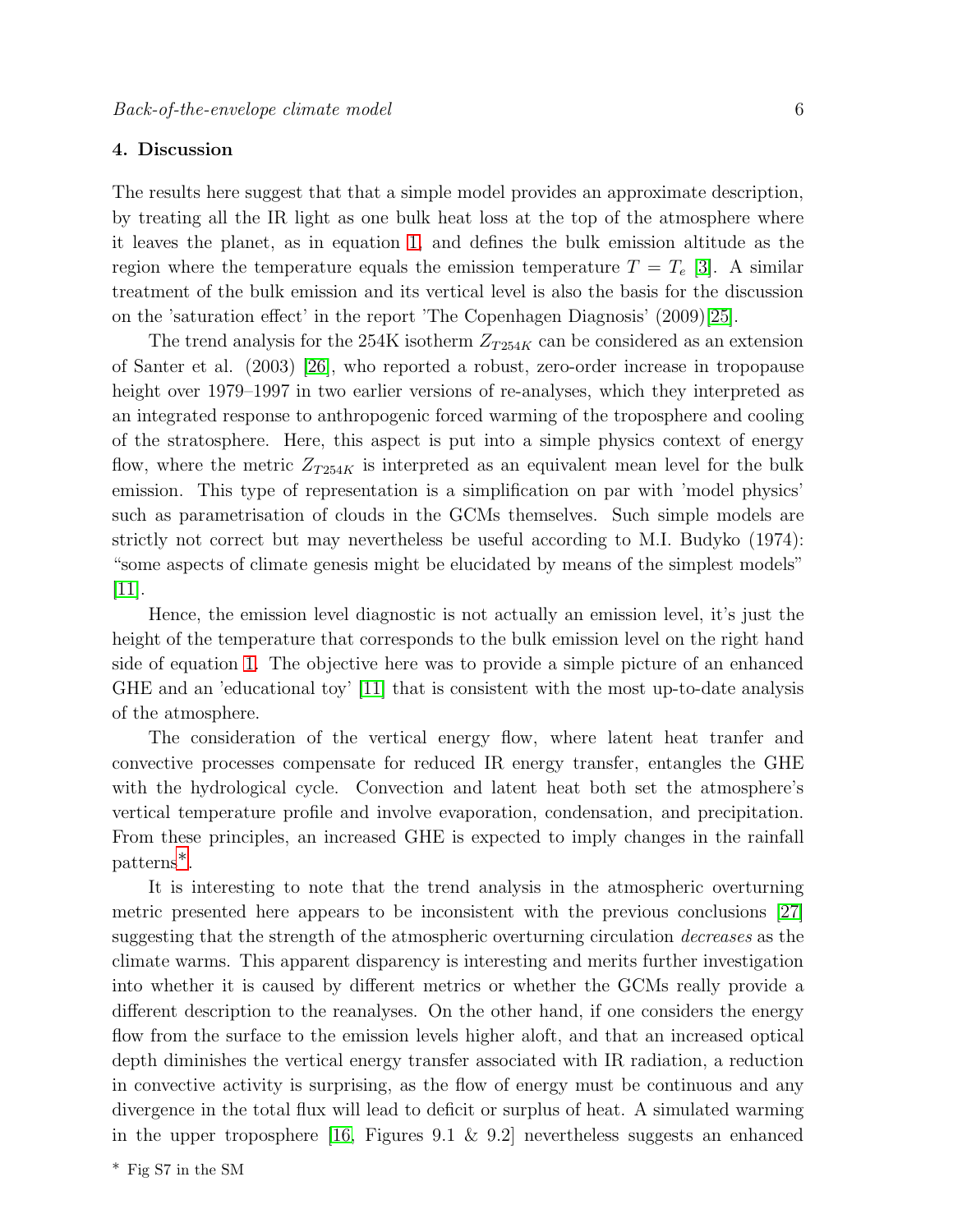#### 4. Discussion

The results here suggest that that a simple model provides an approximate description, by treating all the IR light as one bulk heat loss at the top of the atmosphere where it leaves the planet, as in equation [1,](#page-1-0) and defines the bulk emission altitude as the region where the temperature equals the emission temperature  $T = T_e$  [\[3\]](#page-11-2). A similar treatment of the bulk emission and its vertical level is also the basis for the discussion on the 'saturation effect' in the report 'The Copenhagen Diagnosis' (2009)[\[25\]](#page-11-24).

The trend analysis for the 254K isotherm  $Z_{T254K}$  can be considered as an extension of Santer et al. (2003) [\[26\]](#page-11-25), who reported a robust, zero-order increase in tropopause height over 1979–1997 in two earlier versions of re-analyses, which they interpreted as an integrated response to anthropogenic forced warming of the troposphere and cooling of the stratosphere. Here, this aspect is put into a simple physics context of energy flow, where the metric  $Z_{T254K}$  is interpreted as an equivalent mean level for the bulk emission. This type of representation is a simplification on par with 'model physics' such as parametrisation of clouds in the GCMs themselves. Such simple models are strictly not correct but may nevertheless be useful according to M.I. Budyko (1974): "some aspects of climate genesis might be elucidated by means of the simplest models" [\[11\]](#page-11-10).

Hence, the emission level diagnostic is not actually an emission level, it's just the height of the temperature that corresponds to the bulk emission level on the right hand side of equation [1.](#page-1-0) The objective here was to provide a simple picture of an enhanced GHE and an 'educational toy' [\[11\]](#page-11-10) that is consistent with the most up-to-date analysis of the atmosphere.

The consideration of the vertical energy flow, where latent heat tranfer and convective processes compensate for reduced IR energy transfer, entangles the GHE with the hydrological cycle. Convection and latent heat both set the atmosphere's vertical temperature profile and involve evaporation, condensation, and precipitation. From these principles, an increased GHE is expected to imply changes in the rainfall patterns[∗](#page-5-0).

<span id="page-5-0"></span>It is interesting to note that the trend analysis in the atmospheric overturning metric presented here appears to be inconsistent with the previous conclusions [\[27\]](#page-11-26) suggesting that the strength of the atmospheric overturning circulation *decreases* as the climate warms. This apparent disparency is interesting and merits further investigation into whether it is caused by different metrics or whether the GCMs really provide a different description to the reanalyses. On the other hand, if one considers the energy flow from the surface to the emission levels higher aloft, and that an increased optical depth diminishes the vertical energy transfer associated with IR radiation, a reduction in convective activity is surprising, as the flow of energy must be continuous and any divergence in the total flux will lead to deficit or surplus of heat. A simulated warming in the upper troposphere [\[16,](#page-11-15) Figures 9.1 & 9.2] nevertheless suggests an enhanced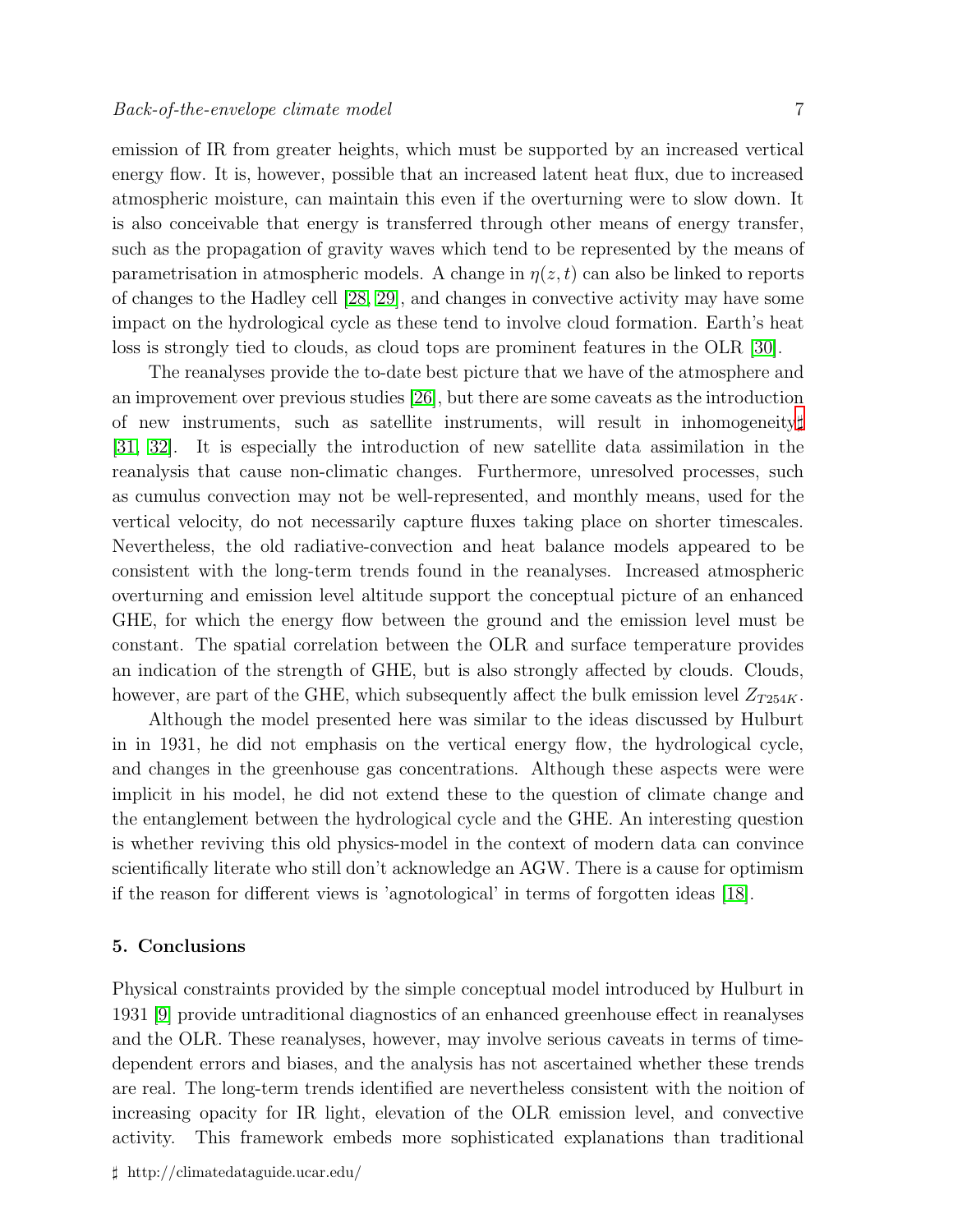emission of IR from greater heights, which must be supported by an increased vertical energy flow. It is, however, possible that an increased latent heat flux, due to increased atmospheric moisture, can maintain this even if the overturning were to slow down. It is also conceivable that energy is transferred through other means of energy transfer, such as the propagation of gravity waves which tend to be represented by the means of parametrisation in atmospheric models. A change in  $\eta(z, t)$  can also be linked to reports of changes to the Hadley cell [\[28,](#page-11-27) [29\]](#page-11-28), and changes in convective activity may have some impact on the hydrological cycle as these tend to involve cloud formation. Earth's heat loss is strongly tied to clouds, as cloud tops are prominent features in the OLR [\[30\]](#page-11-29).

The reanalyses provide the to-date best picture that we have of the atmosphere and an improvement over previous studies [\[26\]](#page-11-25), but there are some caveats as the introduction of new instruments, such as satellite instruments, will result in inhomogeneity[♯](#page-6-0) [\[31,](#page-11-30) [32\]](#page-11-31). It is especially the introduction of new satellite data assimilation in the reanalysis that cause non-climatic changes. Furthermore, unresolved processes, such as cumulus convection may not be well-represented, and monthly means, used for the vertical velocity, do not necessarily capture fluxes taking place on shorter timescales. Nevertheless, the old radiative-convection and heat balance models appeared to be consistent with the long-term trends found in the reanalyses. Increased atmospheric overturning and emission level altitude support the conceptual picture of an enhanced GHE, for which the energy flow between the ground and the emission level must be constant. The spatial correlation between the OLR and surface temperature provides an indication of the strength of GHE, but is also strongly affected by clouds. Clouds, however, are part of the GHE, which subsequently affect the bulk emission level  $Z_{T254K}$ .

Although the model presented here was similar to the ideas discussed by Hulburt in in 1931, he did not emphasis on the vertical energy flow, the hydrological cycle, and changes in the greenhouse gas concentrations. Although these aspects were were implicit in his model, he did not extend these to the question of climate change and the entanglement between the hydrological cycle and the GHE. An interesting question is whether reviving this old physics-model in the context of modern data can convince scientifically literate who still don't acknowledge an AGW. There is a cause for optimism if the reason for different views is 'agnotological' in terms of forgotten ideas [\[18\]](#page-11-17).

#### 5. Conclusions

<span id="page-6-0"></span>Physical constraints provided by the simple conceptual model introduced by Hulburt in 1931 [\[9\]](#page-11-8) provide untraditional diagnostics of an enhanced greenhouse effect in reanalyses and the OLR. These reanalyses, however, may involve serious caveats in terms of timedependent errors and biases, and the analysis has not ascertained whether these trends are real. The long-term trends identified are nevertheless consistent with the noition of increasing opacity for IR light, elevation of the OLR emission level, and convective activity. This framework embeds more sophisticated explanations than traditional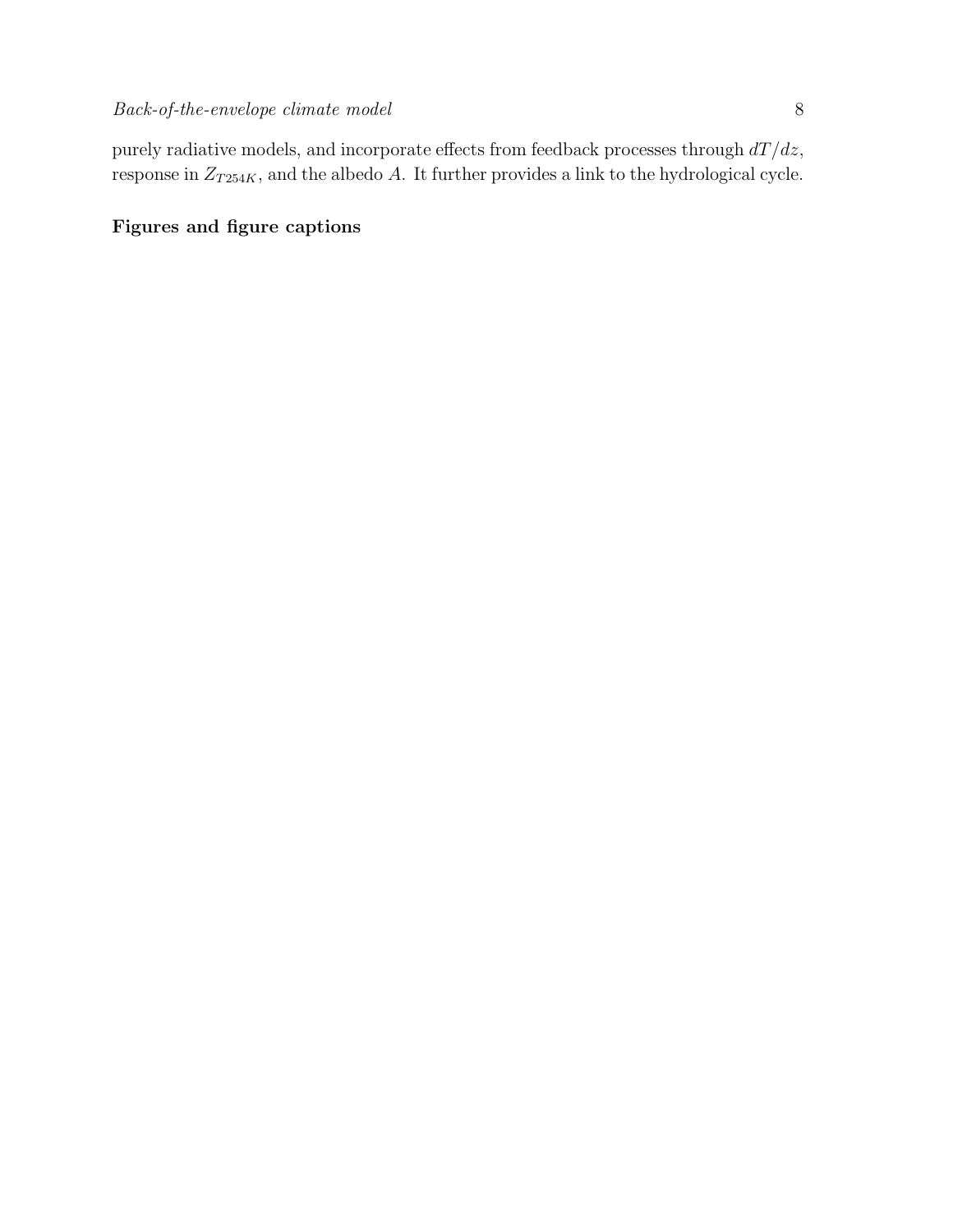purely radiative models, and incorporate effects from feedback processes through  $dT/dz$ , response in  $Z_{T254K}$ , and the albedo A. It further provides a link to the hydrological cycle.

### Figures and figure captions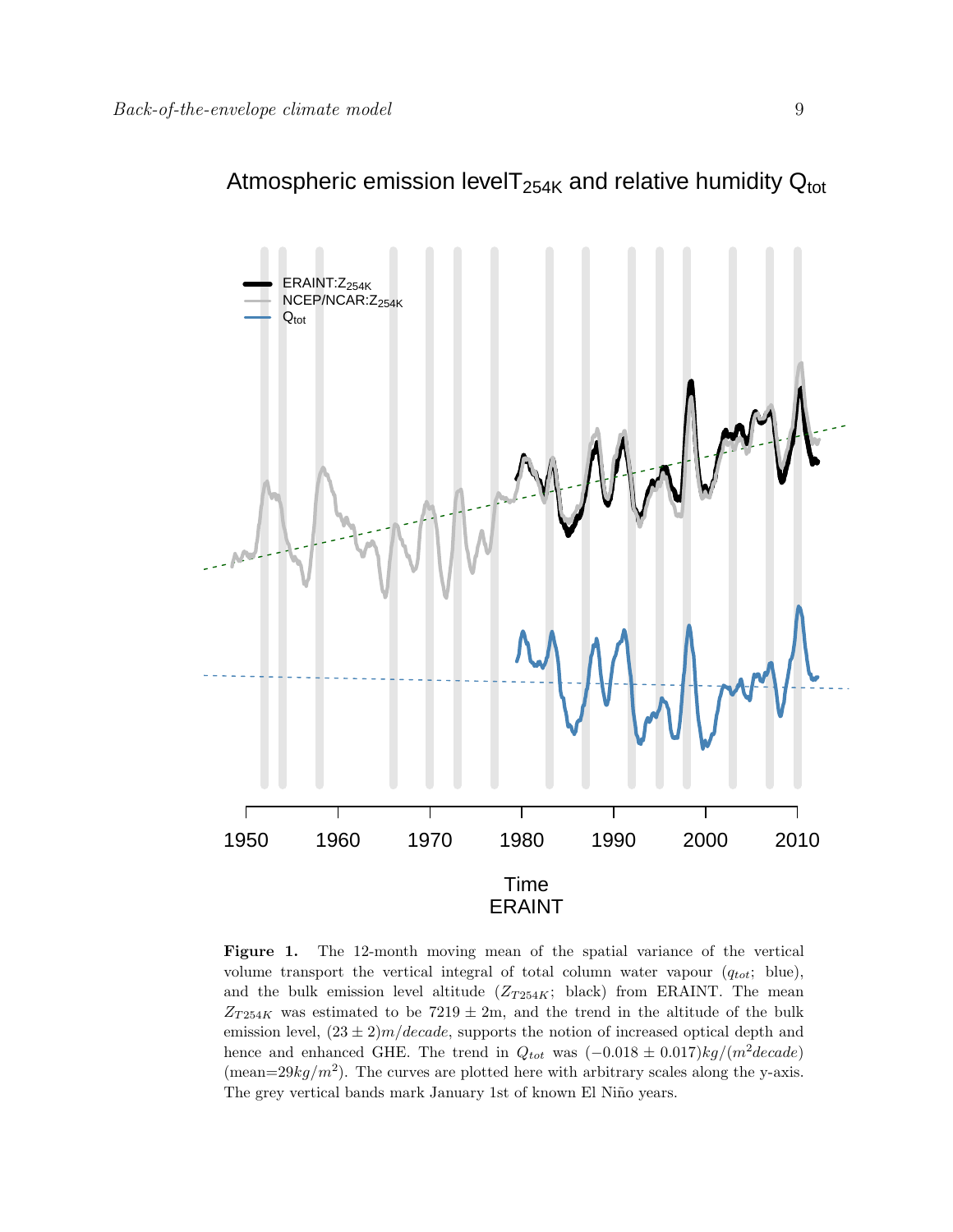

Figure 1. The 12-month moving mean of the spatial variance of the vertical volume transport the vertical integral of total column water vapour  $(q_{tot};$  blue), and the bulk emission level altitude  $(Z_{T254K};$  black) from ERAINT. The mean  $Z_{T254K}$  was estimated to be 7219  $\pm$  2m, and the trend in the altitude of the bulk emission level,  $(23 \pm 2)m/decade$ , supports the notion of increased optical depth and hence and enhanced GHE. The trend in  $Q_{tot}$  was  $(-0.018 \pm 0.017)kg/(m^2 decade)$ (mean= $29kg/m^2$ ). The curves are plotted here with arbitrary scales along the y-axis. The grey vertical bands mark January 1st of known El Niño years.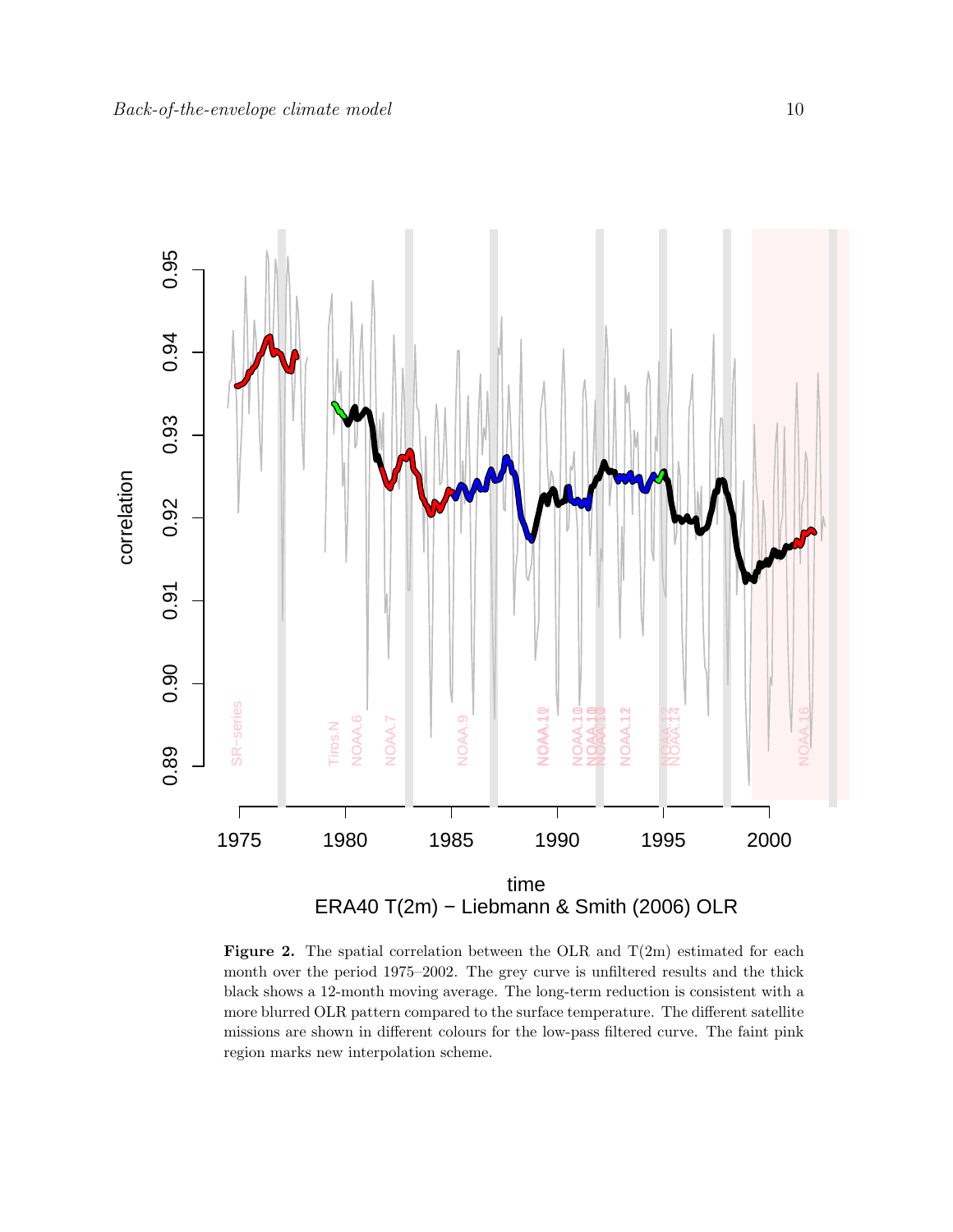

**Figure 2.** The spatial correlation between the OLR and  $T(2m)$  estimated for each month over the period 1975–2002. The grey curve is unfiltered results and the thick black shows a 12-month moving average. The long-term reduction is consistent with a more blurred OLR pattern compared to the surface temperature. The different satellite missions are shown in different colours for the low-pass filtered curve. The faint pink region marks new interpolation scheme.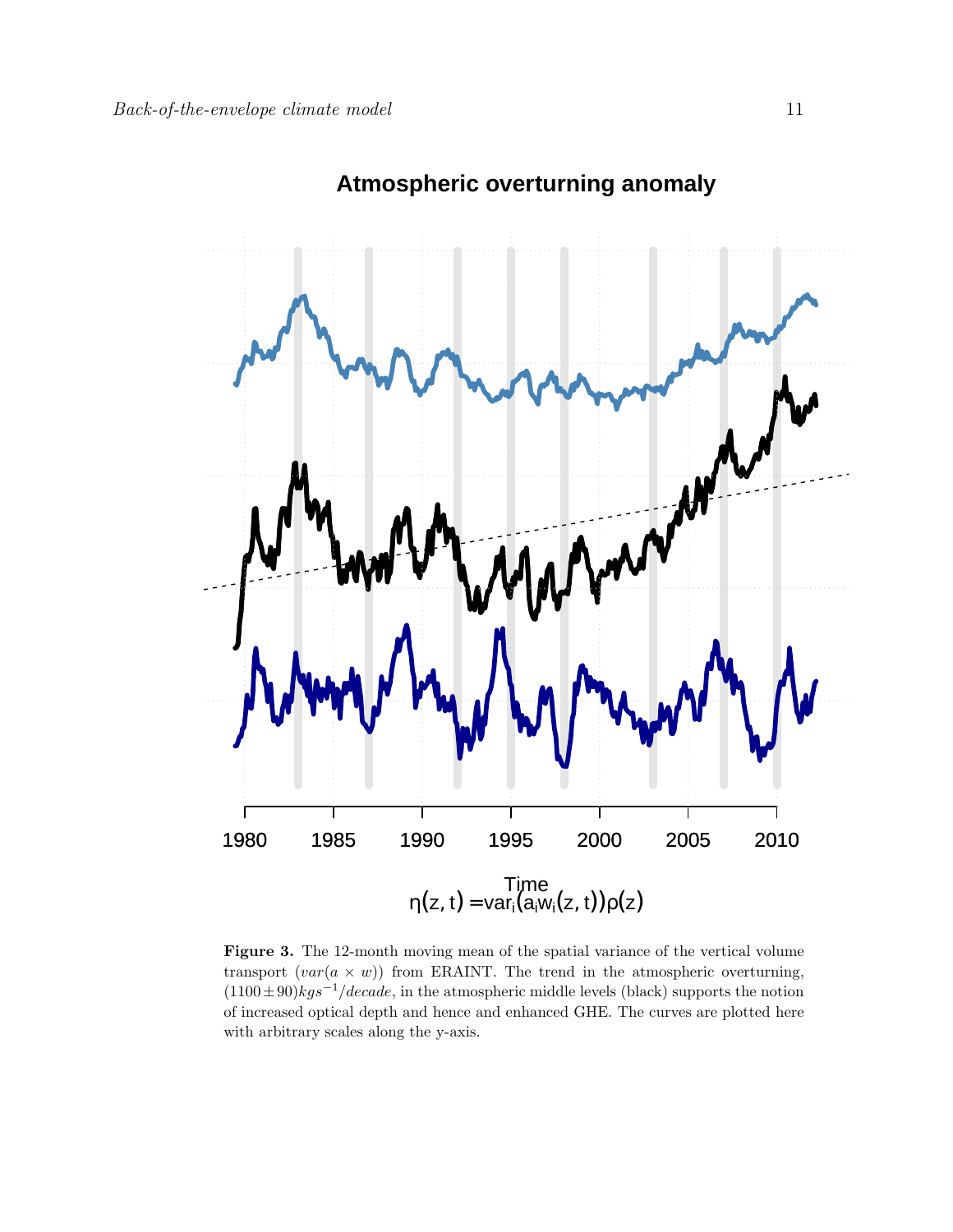

## **Atmospheric overturning anomaly**

Figure 3. The 12-month moving mean of the spatial variance of the vertical volume transport  $(var(a \times w))$  from ERAINT. The trend in the atmospheric overturning,  $(1100 \pm 90)kgs^{-1}/decade$ , in the atmospheric middle levels (black) supports the notion of increased optical depth and hence and enhanced GHE. The curves are plotted here with arbitrary scales along the y-axis.